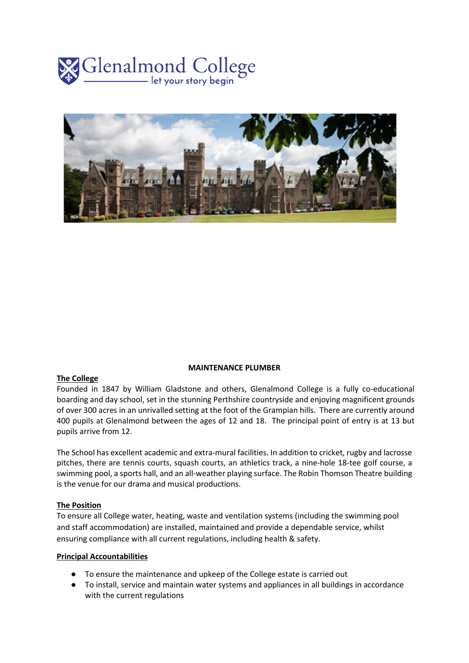



### **MAINTENANCE PLUMBER**

## **The College**

Founded in 1847 by William Gladstone and others, Glenalmond College is a fully co-educational boarding and day school, set in the stunning Perthshire countryside and enjoying magnificent grounds of over 300 acres in an unrivalled setting at the foot of the Grampian hills. There are currently around 400 pupils at Glenalmond between the ages of 12 and 18. The principal point of entry is at 13 but pupils arrive from 12.

The School has excellent academic and extra-mural facilities. In addition to cricket, rugby and lacrosse pitches, there are tennis courts, squash courts, an athletics track, a nine-hole 18-tee golf course, a swimming pool, a sports hall, and an all-weather playing surface. The Robin Thomson Theatre building is the venue for our drama and musical productions.

#### **The Position**

To ensure all College water, heating, waste and ventilation systems (including the swimming pool and staff accommodation) are installed, maintained and provide a dependable service, whilst ensuring compliance with all current regulations, including health & safety.

#### **Principal Accountabilities**

- To ensure the maintenance and upkeep of the College estate is carried out
- To install, service and maintain water systems and appliances in all buildings in accordance with the current regulations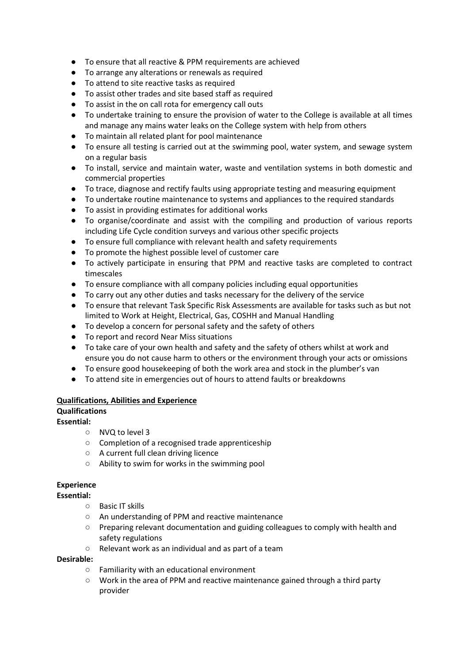- To ensure that all reactive & PPM requirements are achieved
- To arrange any alterations or renewals as required
- To attend to site reactive tasks as required
- To assist other trades and site based staff as required
- To assist in the on call rota for emergency call outs
- To undertake training to ensure the provision of water to the College is available at all times and manage any mains water leaks on the College system with help from others
- To maintain all related plant for pool maintenance
- To ensure all testing is carried out at the swimming pool, water system, and sewage system on a regular basis
- To install, service and maintain water, waste and ventilation systems in both domestic and commercial properties
- To trace, diagnose and rectify faults using appropriate testing and measuring equipment
- To undertake routine maintenance to systems and appliances to the required standards
- To assist in providing estimates for additional works
- To organise/coordinate and assist with the compiling and production of various reports including Life Cycle condition surveys and various other specific projects
- To ensure full compliance with relevant health and safety requirements
- To promote the highest possible level of customer care
- To actively participate in ensuring that PPM and reactive tasks are completed to contract timescales
- To ensure compliance with all company policies including equal opportunities
- To carry out any other duties and tasks necessary for the delivery of the service
- To ensure that relevant Task Specific Risk Assessments are available for tasks such as but not limited to Work at Height, Electrical, Gas, COSHH and Manual Handling
- To develop a concern for personal safety and the safety of others
- To report and record Near Miss situations
- To take care of your own health and safety and the safety of others whilst at work and ensure you do not cause harm to others or the environment through your acts or omissions
- To ensure good housekeeping of both the work area and stock in the plumber's van
- To attend site in emergencies out of hours to attend faults or breakdowns

## **Qualifications, Abilities and Experience**

## **Qualifications**

# **Essential:**

- NVQ to level 3
- Completion of a recognised trade apprenticeship
- A current full clean driving licence
- Ability to swim for works in the swimming pool

# **Experience**

## **Essential:**

- Basic IT skills
- An understanding of PPM and reactive maintenance
- Preparing relevant documentation and guiding colleagues to comply with health and safety regulations
- Relevant work as an individual and as part of a team

## **Desirable:**

- Familiarity with an educational environment
- Work in the area of PPM and reactive maintenance gained through a third party provider